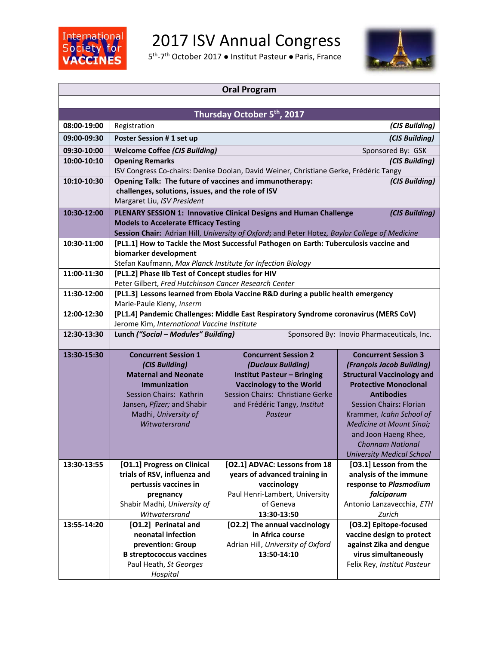

## 2017 ISV Annual Congress

5<sup>th</sup>-7<sup>th</sup> October 2017 • Institut Pasteur • Paris, France



| <b>Oral Program</b> |                                                                                                                                     |                                                                                               |                                                     |
|---------------------|-------------------------------------------------------------------------------------------------------------------------------------|-----------------------------------------------------------------------------------------------|-----------------------------------------------------|
|                     |                                                                                                                                     |                                                                                               |                                                     |
|                     |                                                                                                                                     | Thursday October 5 <sup>th</sup> , 2017                                                       |                                                     |
| 08:00-19:00         | Registration                                                                                                                        |                                                                                               | (CIS Building)                                      |
| 09:00-09:30         | Poster Session # 1 set up                                                                                                           |                                                                                               | (CIS Building)                                      |
| 09:30-10:00         | <b>Welcome Coffee (CIS Building)</b>                                                                                                |                                                                                               | Sponsored By: GSK                                   |
| 10:00-10:10         | <b>Opening Remarks</b>                                                                                                              |                                                                                               | (CIS Building)                                      |
|                     |                                                                                                                                     | ISV Congress Co-chairs: Denise Doolan, David Weiner, Christiane Gerke, Frédéric Tangy         |                                                     |
| 10:10-10:30         | Opening Talk: The future of vaccines and immunotherapy:                                                                             |                                                                                               | (CIS Building)                                      |
|                     | challenges, solutions, issues, and the role of ISV                                                                                  |                                                                                               |                                                     |
|                     | Margaret Liu, ISV President                                                                                                         |                                                                                               |                                                     |
| 10:30-12:00         | <b>Models to Accelerate Efficacy Testing</b>                                                                                        | PLENARY SESSION 1: Innovative Clinical Designs and Human Challenge                            | (CIS Building)                                      |
|                     |                                                                                                                                     | Session Chair: Adrian Hill, University of Oxford; and Peter Hotez, Baylor College of Medicine |                                                     |
| 10:30-11:00         |                                                                                                                                     | [PL1.1] How to Tackle the Most Successful Pathogen on Earth: Tuberculosis vaccine and         |                                                     |
|                     | biomarker development                                                                                                               |                                                                                               |                                                     |
|                     | Stefan Kaufmann, Max Planck Institute for Infection Biology                                                                         |                                                                                               |                                                     |
| 11:00-11:30         | [PL1.2] Phase IIb Test of Concept studies for HIV                                                                                   |                                                                                               |                                                     |
|                     | Peter Gilbert, Fred Hutchinson Cancer Research Center                                                                               |                                                                                               |                                                     |
| 11:30-12:00         | [PL1.3] Lessons learned from Ebola Vaccine R&D during a public health emergency                                                     |                                                                                               |                                                     |
| 12:00-12:30         | Marie-Paule Kieny, Inserm                                                                                                           |                                                                                               |                                                     |
|                     | [PL1.4] Pandemic Challenges: Middle East Respiratory Syndrome coronavirus (MERS CoV)<br>Jerome Kim, International Vaccine Institute |                                                                                               |                                                     |
| 12:30-13:30         | Lunch ("Social - Modules" Building)<br>Sponsored By: Inovio Pharmaceuticals, Inc.                                                   |                                                                                               |                                                     |
|                     |                                                                                                                                     |                                                                                               |                                                     |
| 13:30-15:30         | <b>Concurrent Session 1</b>                                                                                                         | <b>Concurrent Session 2</b>                                                                   | <b>Concurrent Session 3</b>                         |
|                     | (CIS Building)                                                                                                                      | (Duclaux Building)                                                                            | (François Jacob Building)                           |
|                     | <b>Maternal and Neonate</b>                                                                                                         | <b>Institut Pasteur - Bringing</b>                                                            | <b>Structural Vaccinology and</b>                   |
|                     | <b>Immunization</b><br>Session Chairs: Kathrin                                                                                      | <b>Vaccinology to the World</b><br>Session Chairs: Christiane Gerke                           | <b>Protective Monoclonal</b><br><b>Antibodies</b>   |
|                     | Jansen, Pfizer; and Shabir                                                                                                          | and Frédéric Tangy, Institut                                                                  | <b>Session Chairs: Florian</b>                      |
|                     | Madhi, University of                                                                                                                | Pasteur                                                                                       | Krammer, Icahn School of                            |
|                     | Witwatersrand                                                                                                                       |                                                                                               | <b>Medicine at Mount Sinai;</b>                     |
|                     |                                                                                                                                     |                                                                                               | and Joon Haeng Rhee,                                |
|                     |                                                                                                                                     |                                                                                               | <b>Chonnam National</b>                             |
|                     |                                                                                                                                     |                                                                                               | <b>University Medical School</b>                    |
| 13:30-13:55         | [O1.1] Progress on Clinical<br>trials of RSV, influenza and                                                                         | [O2.1] ADVAC: Lessons from 18<br>years of advanced training in                                | [O3.1] Lesson from the<br>analysis of the immune    |
|                     | pertussis vaccines in                                                                                                               | vaccinology                                                                                   | response to Plasmodium                              |
|                     | pregnancy                                                                                                                           | Paul Henri-Lambert, University                                                                | falciparum                                          |
|                     | Shabir Madhi, University of                                                                                                         | of Geneva                                                                                     | Antonio Lanzavecchia, ETH                           |
|                     | Witwatersrand                                                                                                                       | 13:30-13:50                                                                                   | Zurich                                              |
| 13:55-14:20         | [O1.2] Perinatal and                                                                                                                | [O2.2] The annual vaccinology                                                                 | [O3.2] Epitope-focused                              |
|                     | neonatal infection                                                                                                                  | in Africa course                                                                              | vaccine design to protect                           |
|                     | prevention: Group                                                                                                                   | Adrian Hill, University of Oxford                                                             | against Zika and dengue                             |
|                     | <b>B</b> streptococcus vaccines<br>Paul Heath, St Georges                                                                           | 13:50-14:10                                                                                   | virus simultaneously<br>Felix Rey, Institut Pasteur |
|                     | Hospital                                                                                                                            |                                                                                               |                                                     |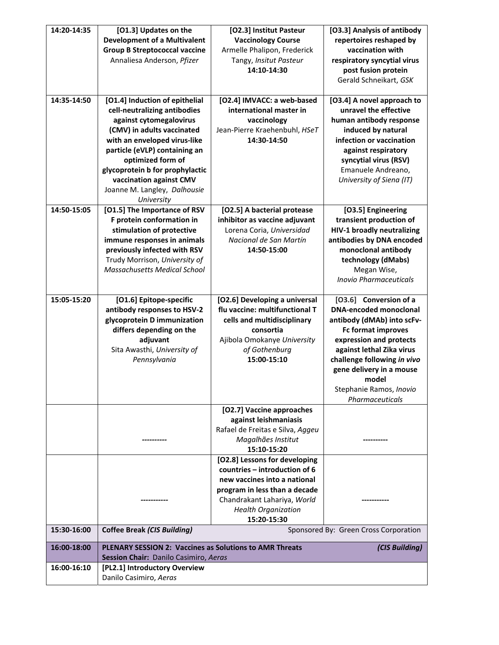| 14:20-14:35 | [O1.3] Updates on the                                   | [O2.3] Institut Pasteur          | [O3.3] Analysis of antibody                |
|-------------|---------------------------------------------------------|----------------------------------|--------------------------------------------|
|             | <b>Development of a Multivalent</b>                     | <b>Vaccinology Course</b>        | repertoires reshaped by                    |
|             | <b>Group B Streptococcal vaccine</b>                    | Armelle Phalipon, Frederick      | vaccination with                           |
|             | Annaliesa Anderson, Pfizer                              | Tangy, Insitut Pasteur           | respiratory syncytial virus                |
|             |                                                         | 14:10-14:30                      | post fusion protein                        |
|             |                                                         |                                  | Gerald Schneikart, GSK                     |
|             |                                                         |                                  |                                            |
| 14:35-14:50 | [O1.4] Induction of epithelial                          | [O2.4] IMVACC: a web-based       | [O3.4] A novel approach to                 |
|             | cell-neutralizing antibodies                            | international master in          | unravel the effective                      |
|             | against cytomegalovirus                                 | vaccinology                      | human antibody response                    |
|             | (CMV) in adults vaccinated                              | Jean-Pierre Kraehenbuhl, HSeT    | induced by natural                         |
|             | with an enveloped virus-like                            | 14:30-14:50                      | infection or vaccination                   |
|             | particle (eVLP) containing an                           |                                  | against respiratory                        |
|             | optimized form of                                       |                                  | syncytial virus (RSV)                      |
|             | glycoprotein b for prophylactic                         |                                  | Emanuele Andreano,                         |
|             | vaccination against CMV                                 |                                  | University of Siena (IT)                   |
|             | Joanne M. Langley, Dalhousie                            |                                  |                                            |
|             | University                                              |                                  |                                            |
| 14:50-15:05 | [O1.5] The Importance of RSV                            | [O2.5] A bacterial protease      | [O3.5] Engineering                         |
|             | F protein conformation in                               | inhibitor as vaccine adjuvant    | transient production of                    |
|             | stimulation of protective                               | Lorena Coria, Universidad        | <b>HIV-1 broadly neutralizing</b>          |
|             | immune responses in animals                             | Nacional de San Martín           | antibodies by DNA encoded                  |
|             | previously infected with RSV                            | 14:50-15:00                      | monoclonal antibody                        |
|             | Trudy Morrison, University of                           |                                  | technology (dMabs)                         |
|             | <b>Massachusetts Medical School</b>                     |                                  | Megan Wise,                                |
|             |                                                         |                                  | <b>Inovio Pharmaceuticals</b>              |
|             |                                                         |                                  |                                            |
| 15:05-15:20 | [O1.6] Epitope-specific                                 | [O2.6] Developing a universal    | [O3.6] Conversion of a                     |
|             | antibody responses to HSV-2                             | flu vaccine: multifunctional T   | <b>DNA-encoded monoclonal</b>              |
|             | glycoprotein D immunization                             | cells and multidisciplinary      | antibody (dMAb) into scFv-                 |
|             | differs depending on the                                | consortia                        | Fc format improves                         |
|             | adjuvant                                                | Ajibola Omokanye University      | expression and protects                    |
|             | Sita Awasthi, University of                             | of Gothenburg                    | against lethal Zika virus                  |
|             | Pennsylvania                                            | 15:00-15:10                      | challenge following in vivo                |
|             |                                                         |                                  | gene delivery in a mouse<br>model          |
|             |                                                         |                                  |                                            |
|             |                                                         |                                  | Stephanie Ramos, Inovio<br>Pharmaceuticals |
|             |                                                         | [O2.7] Vaccine approaches        |                                            |
|             |                                                         | against leishmaniasis            |                                            |
|             |                                                         | Rafael de Freitas e Silva, Aggeu |                                            |
|             | ----------                                              | Magalhães Institut               |                                            |
|             |                                                         | 15:10-15:20                      |                                            |
|             |                                                         | [O2.8] Lessons for developing    |                                            |
|             |                                                         | countries - introduction of 6    |                                            |
|             |                                                         | new vaccines into a national     |                                            |
|             |                                                         | program in less than a decade    |                                            |
|             | ----------                                              | Chandrakant Lahariya, World      |                                            |
|             |                                                         | <b>Health Organization</b>       |                                            |
|             |                                                         | 15:20-15:30                      |                                            |
| 15:30-16:00 | <b>Coffee Break (CIS Building)</b>                      |                                  | Sponsored By: Green Cross Corporation      |
| 16:00-18:00 | PLENARY SESSION 2: Vaccines as Solutions to AMR Threats |                                  | (CIS Building)                             |
|             | Session Chair: Danilo Casimiro, Aeras                   |                                  |                                            |
| 16:00-16:10 | [PL2.1] Introductory Overview                           |                                  |                                            |
|             | Danilo Casimiro, Aeras                                  |                                  |                                            |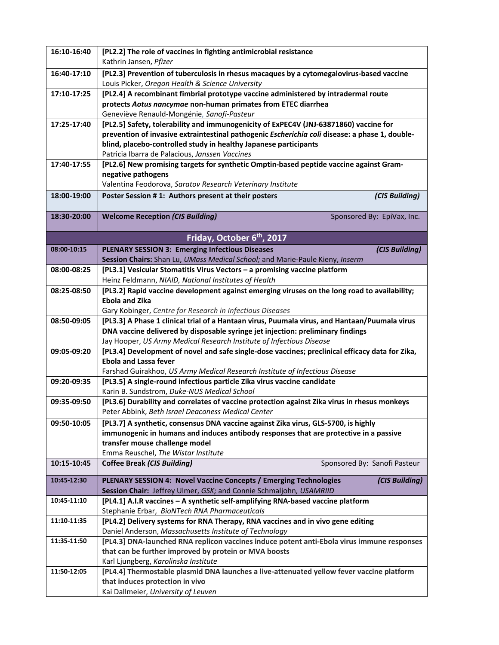| 16:10-16:40 | [PL2.2] The role of vaccines in fighting antimicrobial resistance<br>Kathrin Jansen, Pfizer                                                             |
|-------------|---------------------------------------------------------------------------------------------------------------------------------------------------------|
| 16:40-17:10 | [PL2.3] Prevention of tuberculosis in rhesus macaques by a cytomegalovirus-based vaccine<br>Louis Picker, Oregon Health & Science University            |
| 17:10-17:25 | [PL2.4] A recombinant fimbrial prototype vaccine administered by intradermal route                                                                      |
|             | protects Aotus nancymae non-human primates from ETEC diarrhea                                                                                           |
|             | Geneviève Renauld-Mongénie, Sanofi-Pasteur                                                                                                              |
| 17:25-17:40 | [PL2.5] Safety, tolerability and immunogenicity of ExPEC4V (JNJ-63871860) vaccine for                                                                   |
|             | prevention of invasive extraintestinal pathogenic Escherichia coli disease: a phase 1, double-                                                          |
|             | blind, placebo-controlled study in healthy Japanese participants                                                                                        |
|             | Patricia Ibarra de Palacious, Janssen Vaccines                                                                                                          |
| 17:40-17:55 | [PL2.6] New promising targets for synthetic Omptin-based peptide vaccine against Gram-                                                                  |
|             | negative pathogens                                                                                                                                      |
|             | Valentina Feodorova, Saratov Research Veterinary Institute                                                                                              |
| 18:00-19:00 | (CIS Building)<br>Poster Session #1: Authors present at their posters                                                                                   |
| 18:30-20:00 | <b>Welcome Reception (CIS Building)</b><br>Sponsored By: EpiVax, Inc.                                                                                   |
|             | Friday, October 6 <sup>th</sup> , 2017                                                                                                                  |
| 08:00-10:15 | <b>PLENARY SESSION 3: Emerging Infectious Diseases</b><br>(CIS Building)                                                                                |
|             | Session Chairs: Shan Lu, UMass Medical School; and Marie-Paule Kieny, Inserm                                                                            |
| 08:00-08:25 | [PL3.1] Vesicular Stomatitis Virus Vectors - a promising vaccine platform                                                                               |
|             | Heinz Feldmann, NIAID, National Institutes of Health                                                                                                    |
| 08:25-08:50 | [PL3.2] Rapid vaccine development against emerging viruses on the long road to availability;                                                            |
|             | <b>Ebola and Zika</b>                                                                                                                                   |
|             | Gary Kobinger, Centre for Research in Infectious Diseases                                                                                               |
| 08:50-09:05 | [PL3.3] A Phase 1 clinical trial of a Hantaan virus, Puumala virus, and Hantaan/Puumala virus                                                           |
|             | DNA vaccine delivered by disposable syringe jet injection: preliminary findings<br>Jay Hooper, US Army Medical Research Institute of Infectious Disease |
| 09:05-09:20 | [PL3.4] Development of novel and safe single-dose vaccines; preclinical efficacy data for Zika,                                                         |
|             | <b>Ebola and Lassa fever</b>                                                                                                                            |
|             | Farshad Guirakhoo, US Army Medical Research Institute of Infectious Disease                                                                             |
| 09:20-09:35 | [PL3.5] A single-round infectious particle Zika virus vaccine candidate                                                                                 |
|             | Karin B. Sundstrom, Duke-NUS Medical School                                                                                                             |
| 09:35-09:50 | [PL3.6] Durability and correlates of vaccine protection against Zika virus in rhesus monkeys                                                            |
|             | Peter Abbink, Beth Israel Deaconess Medical Center                                                                                                      |
| 09:50-10:05 | [PL3.7] A synthetic, consensus DNA vaccine against Zika virus, GLS-5700, is highly                                                                      |
|             | immunogenic in humans and induces antibody responses that are protective in a passive                                                                   |
|             | transfer mouse challenge model                                                                                                                          |
|             | Emma Reuschel, The Wistar Institute                                                                                                                     |
| 10:15-10:45 | <b>Coffee Break (CIS Building)</b><br>Sponsored By: Sanofi Pasteur                                                                                      |
| 10:45-12:30 | PLENARY SESSION 4: Novel Vaccine Concepts / Emerging Technologies<br>(CIS Building)                                                                     |
|             | Session Chair: Jeffrey Ulmer, GSK; and Connie Schmaljohn, USAMRIID                                                                                      |
| 10:45-11:10 | [PL4.1] A.I.R vaccines - A synthetic self-amplifying RNA-based vaccine platform                                                                         |
|             | Stephanie Erbar, BioNTech RNA Pharmaceuticals                                                                                                           |
| 11:10-11:35 | [PL4.2] Delivery systems for RNA Therapy, RNA vaccines and in vivo gene editing                                                                         |
|             | Daniel Anderson, Massachusetts Institute of Technology                                                                                                  |
| 11:35-11:50 | [PL4.3] DNA-launched RNA replicon vaccines induce potent anti-Ebola virus immune responses                                                              |
|             | that can be further improved by protein or MVA boosts                                                                                                   |
| 11:50-12:05 | Karl Ljungberg, Karolinska Institute                                                                                                                    |
|             | [PL4.4] Thermostable plasmid DNA launches a live-attenuated yellow fever vaccine platform<br>that induces protection in vivo                            |
|             | Kai Dallmeier, University of Leuven                                                                                                                     |
|             |                                                                                                                                                         |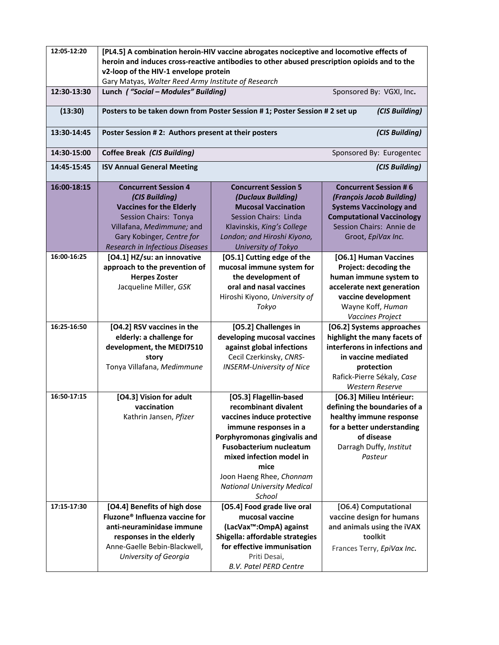| 12:05-12:20 | [PL4.5] A combination heroin-HIV vaccine abrogates nociceptive and locomotive effects of<br>heroin and induces cross-reactive antibodies to other abused prescription opioids and to the<br>v2-loop of the HIV-1 envelope protein |                                                                                                                                                                                                                                                                                         |                                                                                                                                                                                         |
|-------------|-----------------------------------------------------------------------------------------------------------------------------------------------------------------------------------------------------------------------------------|-----------------------------------------------------------------------------------------------------------------------------------------------------------------------------------------------------------------------------------------------------------------------------------------|-----------------------------------------------------------------------------------------------------------------------------------------------------------------------------------------|
| 12:30-13:30 | Gary Matyas, Walter Reed Army Institute of Research<br>Lunch ("Social - Modules" Building)<br>Sponsored By: VGXI, Inc.                                                                                                            |                                                                                                                                                                                                                                                                                         |                                                                                                                                                                                         |
| (13:30)     | Posters to be taken down from Poster Session # 1; Poster Session # 2 set up<br>(CIS Building)                                                                                                                                     |                                                                                                                                                                                                                                                                                         |                                                                                                                                                                                         |
| 13:30-14:45 | Poster Session #2: Authors present at their posters<br>(CIS Building)                                                                                                                                                             |                                                                                                                                                                                                                                                                                         |                                                                                                                                                                                         |
| 14:30-15:00 | <b>Coffee Break (CIS Building)</b><br>Sponsored By: Eurogentec                                                                                                                                                                    |                                                                                                                                                                                                                                                                                         |                                                                                                                                                                                         |
| 14:45-15:45 | <b>ISV Annual General Meeting</b><br>(CIS Building)                                                                                                                                                                               |                                                                                                                                                                                                                                                                                         |                                                                                                                                                                                         |
| 16:00-18:15 | <b>Concurrent Session 4</b><br>(CIS Building)<br><b>Vaccines for the Elderly</b><br><b>Session Chairs: Tonya</b><br>Villafana, Medimmune; and<br>Gary Kobinger, Centre for<br>Research in Infectious Diseases                     | <b>Concurrent Session 5</b><br>(Duclaux Building)<br><b>Mucosal Vaccination</b><br>Session Chairs: Linda<br>Klavinskis, King's College<br>London; and Hiroshi Kiyono,<br>University of Tokyo                                                                                            | <b>Concurrent Session #6</b><br>(François Jacob Building)<br><b>Systems Vaccinology and</b><br><b>Computational Vaccinology</b><br>Session Chairs: Annie de<br>Groot, EpiVax Inc.       |
| 16:00-16:25 | [O4.1] HZ/su: an innovative<br>approach to the prevention of<br><b>Herpes Zoster</b><br>Jacqueline Miller, GSK                                                                                                                    | [O5.1] Cutting edge of the<br>mucosal immune system for<br>the development of<br>oral and nasal vaccines<br>Hiroshi Kiyono, University of<br>Tokyo                                                                                                                                      | [O6.1] Human Vaccines<br>Project: decoding the<br>human immune system to<br>accelerate next generation<br>vaccine development<br>Wayne Koff, Human<br>Vaccines Project                  |
| 16:25-16:50 | [O4.2] RSV vaccines in the<br>elderly: a challenge for<br>development, the MEDI7510<br>story<br>Tonya Villafana, Medimmune                                                                                                        | [O5.2] Challenges in<br>developing mucosal vaccines<br>against global infections<br>Cecil Czerkinsky, CNRS-<br><b>INSERM-University of Nice</b>                                                                                                                                         | [O6.2] Systems approaches<br>highlight the many facets of<br>interferons in infections and<br>in vaccine mediated<br>protection<br>Rafick-Pierre Sékaly, Case<br><b>Western Reserve</b> |
| 16:50-17:15 | [O4.3] Vision for adult<br>vaccination<br>Kathrin Jansen, Pfizer                                                                                                                                                                  | [O5.3] Flagellin-based<br>recombinant divalent<br>vaccines induce protective<br>immune responses in a<br>Porphyromonas gingivalis and<br><b>Fusobacterium nucleatum</b><br>mixed infection model in<br>mice<br>Joon Haeng Rhee, Chonnam<br><b>National University Medical</b><br>School | [O6.3] Milieu Intérieur:<br>defining the boundaries of a<br>healthy immune response<br>for a better understanding<br>of disease<br>Darragh Duffy, Institut<br>Pasteur                   |
| 17:15-17:30 | [O4.4] Benefits of high dose<br>Fluzone <sup>®</sup> Influenza vaccine for<br>anti-neuraminidase immune<br>responses in the elderly<br>Anne-Gaelle Bebin-Blackwell,<br>University of Georgia                                      | [O5.4] Food grade live oral<br>mucosal vaccine<br>(LacVax <sup>™</sup> :OmpA) against<br>Shigella: affordable strategies<br>for effective immunisation<br>Priti Desai,<br><b>B.V. Patel PERD Centre</b>                                                                                 | [O6.4} Computational<br>vaccine design for humans<br>and animals using the iVAX<br>toolkit<br>Frances Terry, EpiVax Inc.                                                                |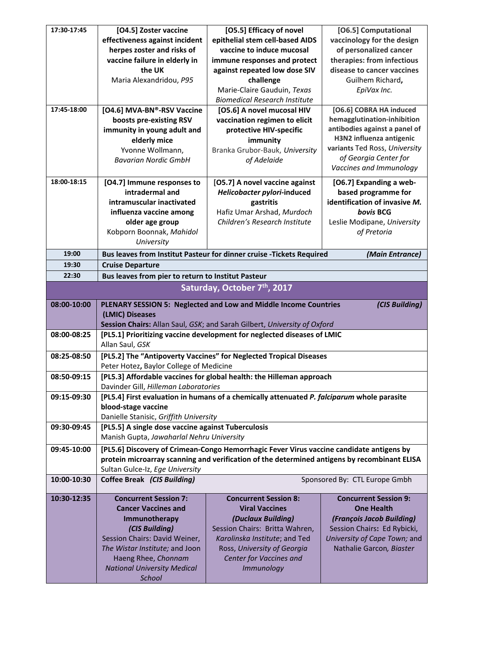|             | [O4.5] Zoster vaccine                                                              | [O5.5] Efficacy of novel                                                                     | [O6.5] Computational                                      |
|-------------|------------------------------------------------------------------------------------|----------------------------------------------------------------------------------------------|-----------------------------------------------------------|
|             | effectiveness against incident                                                     | epithelial stem cell-based AIDS                                                              | vaccinology for the design                                |
|             | herpes zoster and risks of                                                         | vaccine to induce mucosal                                                                    | of personalized cancer                                    |
|             | vaccine failure in elderly in                                                      | immune responses and protect                                                                 | therapies: from infectious                                |
|             | the UK                                                                             | against repeated low dose SIV                                                                | disease to cancer vaccines                                |
|             | Maria Alexandridou, P95                                                            | challenge                                                                                    | Guilhem Richard,                                          |
|             |                                                                                    | Marie-Claire Gauduin, Texas                                                                  | EpiVax Inc.                                               |
|             |                                                                                    | <b>Biomedical Research Institute</b>                                                         |                                                           |
| 17:45-18:00 | [O4.6] MVA-BN®-RSV Vaccine                                                         | [O5.6] A novel mucosal HIV                                                                   | [O6.6] COBRA HA induced                                   |
|             | boosts pre-existing RSV                                                            | vaccination regimen to elicit                                                                | hemagglutination-inhibition                               |
|             | immunity in young adult and                                                        | protective HIV-specific                                                                      | antibodies against a panel of<br>H3N2 influenza antigenic |
|             | elderly mice                                                                       | immunity                                                                                     | variants Ted Ross, University                             |
|             | Yvonne Wollmann,<br><b>Bavarian Nordic GmbH</b>                                    | Branka Grubor-Bauk, University                                                               | of Georgia Center for                                     |
|             |                                                                                    | of Adelaide                                                                                  | Vaccines and Immunology                                   |
| 18:00-18:15 |                                                                                    |                                                                                              |                                                           |
|             | [O4.7] Immune responses to<br>intradermal and                                      | [O5.7] A novel vaccine against<br>Helicobacter pylori-induced                                | [O6.7] Expanding a web-<br>based programme for            |
|             | intramuscular inactivated                                                          | gastritis                                                                                    | identification of invasive M.                             |
|             | influenza vaccine among                                                            | Hafiz Umar Arshad, Murdoch                                                                   | bovis BCG                                                 |
|             | older age group                                                                    | Children's Research Institute                                                                | Leslie Modipane, University                               |
|             | Kobporn Boonnak, Mahidol                                                           |                                                                                              | of Pretoria                                               |
|             | University                                                                         |                                                                                              |                                                           |
| 19:00       |                                                                                    | Bus leaves from Institut Pasteur for dinner cruise -Tickets Required                         | (Main Entrance)                                           |
| 19:30       | <b>Cruise Departure</b>                                                            |                                                                                              |                                                           |
| 22:30       | Bus leaves from pier to return to Institut Pasteur                                 |                                                                                              |                                                           |
|             |                                                                                    | Saturday, October 7 <sup>th</sup> , 2017                                                     |                                                           |
| 08:00-10:00 | PLENARY SESSION 5: Neglected and Low and Middle Income Countries<br>(CIS Building) |                                                                                              |                                                           |
|             | (LMIC) Diseases                                                                    |                                                                                              |                                                           |
|             | Session Chairs: Allan Saul, GSK; and Sarah Gilbert, University of Oxford           |                                                                                              |                                                           |
| 08:00-08:25 |                                                                                    | [PL5.1] Prioritizing vaccine development for neglected diseases of LMIC                      |                                                           |
|             |                                                                                    |                                                                                              |                                                           |
|             | Allan Saul, GSK                                                                    |                                                                                              |                                                           |
| 08:25-08:50 |                                                                                    | [PL5.2] The "Antipoverty Vaccines" for Neglected Tropical Diseases                           |                                                           |
|             | Peter Hotez, Baylor College of Medicine                                            |                                                                                              |                                                           |
| 08:50-09:15 |                                                                                    | [PL5.3] Affordable vaccines for global health: the Hilleman approach                         |                                                           |
|             | Davinder Gill, Hilleman Laboratories                                               |                                                                                              |                                                           |
| 09:15-09:30 |                                                                                    | [PL5.4] First evaluation in humans of a chemically attenuated P. falciparum whole parasite   |                                                           |
|             | blood-stage vaccine                                                                |                                                                                              |                                                           |
|             | Danielle Stanisic, Griffith University                                             |                                                                                              |                                                           |
| 09:30-09:45 | [PL5.5] A single dose vaccine against Tuberculosis                                 |                                                                                              |                                                           |
|             | Manish Gupta, Jawaharlal Nehru University                                          |                                                                                              |                                                           |
| 09:45-10:00 |                                                                                    | [PL5.6] Discovery of Crimean-Congo Hemorrhagic Fever Virus vaccine candidate antigens by     |                                                           |
|             |                                                                                    | protein microarray scanning and verification of the determined antigens by recombinant ELISA |                                                           |
|             | Sultan Gulce-Iz, Ege University                                                    |                                                                                              |                                                           |
| 10:00-10:30 | Coffee Break (CIS Building)                                                        |                                                                                              | Sponsored By: CTL Europe Gmbh                             |
| 10:30-12:35 | <b>Concurrent Session 7:</b>                                                       | <b>Concurrent Session 8:</b>                                                                 | <b>Concurrent Session 9:</b>                              |
|             | <b>Cancer Vaccines and</b>                                                         | <b>Viral Vaccines</b>                                                                        | <b>One Health</b>                                         |
|             | Immunotherapy                                                                      | (Duclaux Building)                                                                           | (François Jacob Building)                                 |
|             | (CIS Building)                                                                     | Session Chairs: Britta Wahren,                                                               | Session Chairs: Ed Rybicki,                               |
|             | Session Chairs: David Weiner,                                                      | Karolinska Institute; and Ted                                                                | University of Cape Town; and                              |
|             | The Wistar Institute; and Joon                                                     | Ross, University of Georgia                                                                  | Nathalie Garcon, Biaster                                  |
|             | Haeng Rhee, Chonnam                                                                | Center for Vaccines and                                                                      |                                                           |
|             | <b>National University Medical</b><br>School                                       | Immunology                                                                                   |                                                           |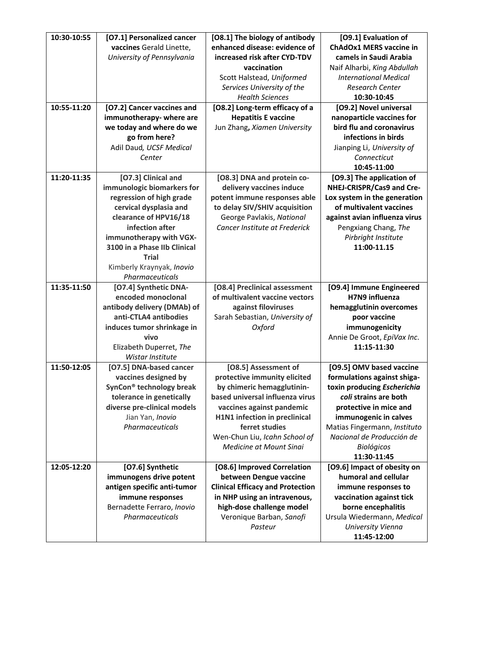| 10:30-10:55 | [O7.1] Personalized cancer                           | [O8.1] The biology of antibody           | [O9.1] Evaluation of           |
|-------------|------------------------------------------------------|------------------------------------------|--------------------------------|
|             | vaccines Gerald Linette,                             | enhanced disease: evidence of            | <b>ChAdOx1 MERS vaccine in</b> |
|             | University of Pennsylvania                           | increased risk after CYD-TDV             | camels in Saudi Arabia         |
|             |                                                      | vaccination                              | Naif Alharbi, King Abdullah    |
|             |                                                      | Scott Halstead, Uniformed                | <b>International Medical</b>   |
|             |                                                      | Services University of the               | <b>Research Center</b>         |
|             |                                                      | <b>Health Sciences</b>                   | 10:30-10:45                    |
| 10:55-11:20 | [O7.2] Cancer vaccines and                           | [O8.2] Long-term efficacy of a           | [O9.2] Novel universal         |
|             | immunotherapy-where are                              | <b>Hepatitis E vaccine</b>               | nanoparticle vaccines for      |
|             | we today and where do we                             | Jun Zhang, Xiamen University             | bird flu and coronavirus       |
|             | go from here?                                        |                                          | infections in birds            |
|             | Adil Daud, UCSF Medical                              |                                          | Jianping Li, University of     |
|             | Center                                               |                                          | Connecticut                    |
|             |                                                      |                                          | 10:45-11:00                    |
| 11:20-11:35 | [O7.3] Clinical and                                  | [O8.3] DNA and protein co-               | [O9.3] The application of      |
|             | immunologic biomarkers for                           | delivery vaccines induce                 | NHEJ-CRISPR/Cas9 and Cre-      |
|             | regression of high grade                             | potent immune responses able             | Lox system in the generation   |
|             | cervical dysplasia and                               | to delay SIV/SHIV acquisition            | of multivalent vaccines        |
|             | clearance of HPV16/18                                | George Pavlakis, National                | against avian influenza virus  |
|             | infection after                                      | Cancer Institute at Frederick            | Pengxiang Chang, The           |
|             | immunotherapy with VGX-                              |                                          | Pirbright Institute            |
|             | 3100 in a Phase IIb Clinical                         |                                          | 11:00-11.15                    |
|             | <b>Trial</b>                                         |                                          |                                |
|             | Kimberly Kraynyak, Inovio                            |                                          |                                |
|             | Pharmaceuticals                                      |                                          |                                |
| 11:35-11:50 | [O7.4] Synthetic DNA-                                | [O8.4] Preclinical assessment            | [O9.4] Immune Engineered       |
|             | encoded monoclonal                                   | of multivalent vaccine vectors           | H7N9 influenza                 |
|             | antibody delivery (DMAb) of<br>anti-CTLA4 antibodies | against filoviruses                      | hemagglutinin overcomes        |
|             | induces tumor shrinkage in                           | Sarah Sebastian, University of<br>Oxford | poor vaccine<br>immunogenicity |
|             | vivo                                                 |                                          | Annie De Groot, EpiVax Inc.    |
|             | Elizabeth Duperret, The                              |                                          | 11:15-11:30                    |
|             | Wistar Institute                                     |                                          |                                |
| 11:50-12:05 | [O7.5] DNA-based cancer                              | [O8.5] Assessment of                     | [O9.5] OMV based vaccine       |
|             | vaccines designed by                                 | protective immunity elicited             | formulations against shiga-    |
|             | SynCon® technology break                             | by chimeric hemagglutinin-               | toxin producing Escherichia    |
|             | tolerance in genetically                             | based universal influenza virus          | coli strains are both          |
|             | diverse pre-clinical models                          | vaccines against pandemic                | protective in mice and         |
|             | Jian Yan, Inovio                                     | H1N1 infection in preclinical            | immunogenic in calves          |
|             | Pharmaceuticals                                      | ferret studies                           | Matias Fingermann, Instituto   |
|             |                                                      | Wen-Chun Liu, Icahn School of            | Nacional de Producción de      |
|             |                                                      | Medicine at Mount Sinai                  | <b>Biológicos</b>              |
|             |                                                      |                                          | 11:30-11:45                    |
| 12:05-12:20 | [O7.6] Synthetic                                     | [O8.6] Improved Correlation              | [O9.6] Impact of obesity on    |
|             | immunogens drive potent                              | between Dengue vaccine                   | humoral and cellular           |
|             | antigen specific anti-tumor                          | <b>Clinical Efficacy and Protection</b>  | immune responses to            |
|             | immune responses                                     | in NHP using an intravenous,             | vaccination against tick       |
|             | Bernadette Ferraro, Inovio                           | high-dose challenge model                | borne encephalitis             |
|             | Pharmaceuticals                                      | Veronique Barban, Sanofi                 | Ursula Wiedermann, Medical     |
|             |                                                      | Pasteur                                  | University Vienna              |
|             |                                                      |                                          | 11:45-12:00                    |